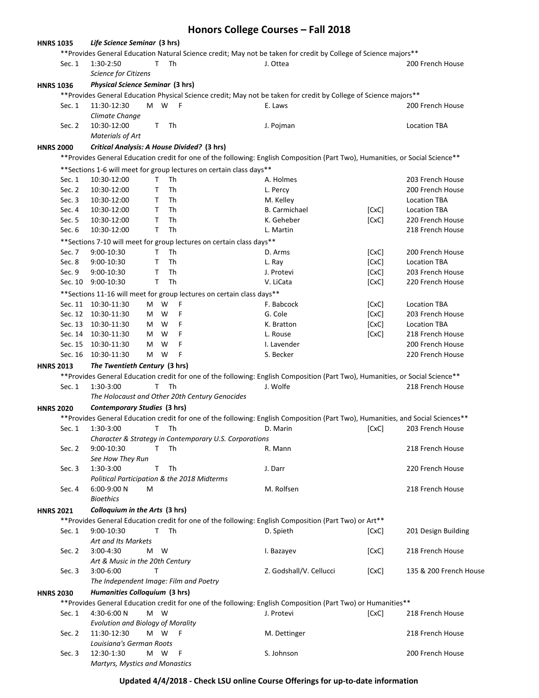## **Honors College Courses – Fall 2018**

| <b>HNRS 1035</b>                                  |        | Life Science Seminar (3 hrs)                         |        |                                                                        |                                                                                                                                  |       |                        |
|---------------------------------------------------|--------|------------------------------------------------------|--------|------------------------------------------------------------------------|----------------------------------------------------------------------------------------------------------------------------------|-------|------------------------|
|                                                   |        |                                                      |        |                                                                        | ** Provides General Education Natural Science credit; May not be taken for credit by College of Science majors**                 |       |                        |
|                                                   | Sec. 1 | T<br>Th<br>1:30-2:50<br>J. Ottea<br>200 French House |        |                                                                        |                                                                                                                                  |       |                        |
|                                                   |        | Science for Citizens                                 |        |                                                                        |                                                                                                                                  |       |                        |
| <b>HNRS 1036</b>                                  |        | <b>Physical Science Seminar (3 hrs)</b>              |        |                                                                        |                                                                                                                                  |       |                        |
|                                                   |        |                                                      |        |                                                                        | ** Provides General Education Physical Science credit; May not be taken for credit by College of Science majors**                |       |                        |
|                                                   | Sec. 1 | 11:30-12:30                                          | M W F  |                                                                        | E. Laws                                                                                                                          |       | 200 French House       |
|                                                   |        | Climate Change                                       |        |                                                                        |                                                                                                                                  |       |                        |
|                                                   | Sec. 2 | 10:30-12:00                                          | T      | Th                                                                     | J. Pojman                                                                                                                        |       | <b>Location TBA</b>    |
|                                                   |        | <b>Materials of Art</b>                              |        |                                                                        |                                                                                                                                  |       |                        |
|                                                   |        |                                                      |        | Critical Analysis: A House Divided? (3 hrs)                            |                                                                                                                                  |       |                        |
| <b>HNRS 2000</b>                                  |        |                                                      |        |                                                                        |                                                                                                                                  |       |                        |
|                                                   |        |                                                      |        |                                                                        | **Provides General Education credit for one of the following: English Composition (Part Two), Humanities, or Social Science**    |       |                        |
|                                                   |        |                                                      |        | ** Sections 1-6 will meet for group lectures on certain class days**   |                                                                                                                                  |       |                        |
|                                                   | Sec. 1 | 10:30-12:00                                          | T      | Th                                                                     | A. Holmes                                                                                                                        |       | 203 French House       |
|                                                   | Sec. 2 | 10:30-12:00                                          | T      | Th                                                                     | L. Percy                                                                                                                         |       | 200 French House       |
|                                                   | Sec. 3 | 10:30-12:00                                          | Τ      | Th                                                                     | M. Kelley                                                                                                                        |       | <b>Location TBA</b>    |
|                                                   | Sec. 4 | 10:30-12:00                                          | T      | Th                                                                     | <b>B.</b> Carmichael                                                                                                             | [CxC] | <b>Location TBA</b>    |
|                                                   | Sec. 5 | 10:30-12:00                                          | T      | Th                                                                     | K. Geheber                                                                                                                       | [CxC] | 220 French House       |
|                                                   | Sec. 6 | 10:30-12:00                                          | T.     | Th                                                                     | L. Martin                                                                                                                        |       | 218 French House       |
|                                                   |        |                                                      |        | ** Sections 7-10 will meet for group lectures on certain class days**  |                                                                                                                                  |       |                        |
|                                                   | Sec. 7 | 9:00-10:30                                           | T      | Th                                                                     | D. Arms                                                                                                                          | [CxC] | 200 French House       |
|                                                   | Sec. 8 | 9:00-10:30                                           | T.     | Th                                                                     | L. Ray                                                                                                                           | [CxC] | <b>Location TBA</b>    |
|                                                   | Sec. 9 | 9:00-10:30                                           | т      | Th                                                                     | J. Protevi                                                                                                                       | [CxC] | 203 French House       |
|                                                   |        | Sec. 10 9:00-10:30                                   | T      | Th                                                                     | V. LiCata                                                                                                                        | [CxC] | 220 French House       |
|                                                   |        |                                                      |        | ** Sections 11-16 will meet for group lectures on certain class days** |                                                                                                                                  |       |                        |
|                                                   |        | Sec. 11 10:30-11:30                                  | W<br>M | F                                                                      | F. Babcock                                                                                                                       | [CxC] | <b>Location TBA</b>    |
|                                                   |        | Sec. 12 10:30-11:30                                  | W<br>M | F                                                                      | G. Cole                                                                                                                          | [CxC] | 203 French House       |
|                                                   |        | Sec. 13 10:30-11:30                                  | M W    | F                                                                      | K. Bratton                                                                                                                       | [CxC] | <b>Location TBA</b>    |
|                                                   |        | Sec. 14 10:30-11:30                                  | W<br>M | F                                                                      | L. Rouse                                                                                                                         | [CxC] | 218 French House       |
|                                                   |        | Sec. 15 10:30-11:30                                  | M<br>W | F                                                                      | I. Lavender                                                                                                                      |       | 200 French House       |
|                                                   |        | Sec. 16 10:30-11:30                                  | M W    | F                                                                      | S. Becker                                                                                                                        |       | 220 French House       |
| <b>HNRS 2013</b>                                  |        | The Twentieth Century (3 hrs)                        |        |                                                                        |                                                                                                                                  |       |                        |
|                                                   |        |                                                      |        |                                                                        | ** Provides General Education credit for one of the following: English Composition (Part Two), Humanities, or Social Science**   |       |                        |
|                                                   | Sec. 1 | 1:30-3:00                                            | T.     | Th                                                                     | J. Wolfe                                                                                                                         |       | 218 French House       |
|                                                   |        |                                                      |        | The Holocaust and Other 20th Century Genocides                         |                                                                                                                                  |       |                        |
|                                                   |        |                                                      |        |                                                                        |                                                                                                                                  |       |                        |
| <b>HNRS 2020</b>                                  |        | Contemporary Studies (3 hrs)                         |        |                                                                        |                                                                                                                                  |       |                        |
|                                                   |        |                                                      |        |                                                                        | ** Provides General Education credit for one of the following: English Composition (Part Two), Humanities, and Social Sciences** |       |                        |
|                                                   | Sec. 1 | 1:30-3:00                                            | T.     | Th                                                                     | D. Marin                                                                                                                         | [CxC] | 203 French House       |
|                                                   |        |                                                      |        | Character & Strategy in Contemporary U.S. Corporations                 |                                                                                                                                  |       |                        |
|                                                   | Sec. 2 | 9:00-10:30                                           | т      | Th                                                                     | R. Mann                                                                                                                          |       | 218 French House       |
|                                                   |        | See How They Run                                     |        |                                                                        |                                                                                                                                  |       |                        |
|                                                   | Sec. 3 | 1:30-3:00                                            | T      | Th                                                                     | J. Darr                                                                                                                          |       | 220 French House       |
|                                                   |        |                                                      |        | Political Participation & the 2018 Midterms                            |                                                                                                                                  |       |                        |
|                                                   | Sec. 4 | 6:00-9:00 N<br><b>Bioethics</b>                      | M      |                                                                        | M. Rolfsen                                                                                                                       |       | 218 French House       |
|                                                   |        |                                                      |        |                                                                        |                                                                                                                                  |       |                        |
| <b>HNRS 2021</b>                                  |        | Colloquium in the Arts (3 hrs)                       |        |                                                                        |                                                                                                                                  |       |                        |
|                                                   |        |                                                      |        |                                                                        | ** Provides General Education credit for one of the following: English Composition (Part Two) or Art**                           |       |                        |
|                                                   | Sec. 1 | 9:00-10:30                                           |        | T Th                                                                   | D. Spieth                                                                                                                        | [CxC] | 201 Design Building    |
|                                                   |        | Art and Its Markets                                  |        |                                                                        |                                                                                                                                  |       |                        |
|                                                   | Sec. 2 | 3:00-4:30                                            | M W    |                                                                        | I. Bazayev                                                                                                                       | [CxC] | 218 French House       |
|                                                   |        | Art & Music in the 20th Century                      |        |                                                                        |                                                                                                                                  |       |                        |
|                                                   | Sec. 3 | $3:00 - 6:00$                                        | т      |                                                                        | Z. Godshall/V. Cellucci                                                                                                          | [CxC] | 135 & 200 French House |
|                                                   |        | The Independent Image: Film and Poetry               |        |                                                                        |                                                                                                                                  |       |                        |
| Humanities Colloquium (3 hrs)<br><b>HNRS 2030</b> |        |                                                      |        |                                                                        |                                                                                                                                  |       |                        |
|                                                   |        |                                                      |        |                                                                        | ** Provides General Education credit for one of the following: English Composition (Part Two) or Humanities**                    |       |                        |
|                                                   | Sec. 1 | 4:30-6:00 N                                          | M W    |                                                                        | J. Protevi                                                                                                                       | [CxC] | 218 French House       |
|                                                   |        | <b>Evolution and Biology of Morality</b>             |        |                                                                        |                                                                                                                                  |       |                        |
|                                                   | Sec. 2 | 11:30-12:30                                          | M W F  |                                                                        | M. Dettinger                                                                                                                     |       | 218 French House       |
|                                                   |        | Louisiana's German Roots                             |        |                                                                        |                                                                                                                                  |       |                        |
|                                                   | Sec. 3 | 12:30-1:30                                           | M W    | – F                                                                    | S. Johnson                                                                                                                       |       | 200 French House       |
|                                                   |        | Martyrs, Mystics and Monastics                       |        |                                                                        |                                                                                                                                  |       |                        |

## **Updated 4/4/2018 - Check LSU online Course Offerings for up-to-date information**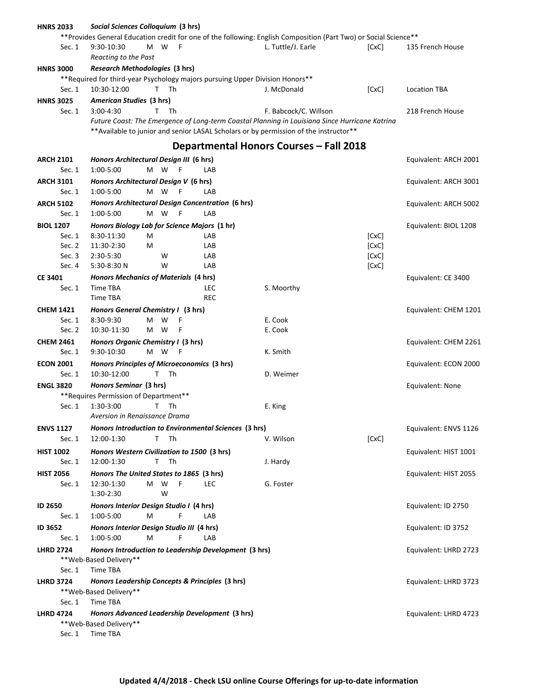| <b>HNRS 2033</b>           | Social Sciences Colloquium (3 hrs)                                                                                |            |                                         |       |                       |
|----------------------------|-------------------------------------------------------------------------------------------------------------------|------------|-----------------------------------------|-------|-----------------------|
|                            | ** Provides General Education credit for one of the following: English Composition (Part Two) or Social Science** |            |                                         |       |                       |
| Sec. 1                     | W<br>9:30-10:30<br>M<br>F                                                                                         |            | L. Tuttle/J. Earle                      | [CxC] | 135 French House      |
|                            | Reacting to the Past                                                                                              |            |                                         |       |                       |
| <b>HNRS 3000</b>           | Research Methodologies (3 hrs)                                                                                    |            |                                         |       |                       |
|                            | ** Required for third-year Psychology majors pursuing Upper Division Honors**                                     |            |                                         |       |                       |
| Sec. 1                     | 10:30-12:00<br>T.<br>Th                                                                                           |            | J. McDonald                             | [CxC] | <b>Location TBA</b>   |
| <b>HNRS 3025</b>           | American Studies (3 hrs)                                                                                          |            |                                         |       |                       |
| Sec. 1                     | $3:00-4:30$<br>T.<br>Th                                                                                           |            | F. Babcock/C. Willson                   |       | 218 French House      |
|                            | Future Coast: The Emergence of Long-term Coastal Planning in Louisiana Since Hurricane Katrina                    |            |                                         |       |                       |
|                            | ** Available to junior and senior LASAL Scholars or by permission of the instructor **                            |            |                                         |       |                       |
|                            |                                                                                                                   |            | Departmental Honors Courses – Fall 2018 |       |                       |
|                            |                                                                                                                   |            |                                         |       |                       |
| <b>ARCH 2101</b>           | Honors Architectural Design III (6 hrs)                                                                           |            |                                         |       | Equivalent: ARCH 2001 |
| Sec. 1                     | 1:00-5:00<br>M W<br>F                                                                                             | LAB        |                                         |       |                       |
| <b>ARCH 3101</b>           | Honors Architectural Design V (6 hrs)                                                                             |            |                                         |       | Equivalent: ARCH 3001 |
| Sec. 1                     | 1:00-5:00<br>M W<br>F                                                                                             | LAB        |                                         |       |                       |
| <b>ARCH 5102</b>           | Honors Architectural Design Concentration (6 hrs)                                                                 |            |                                         |       | Equivalent: ARCH 5002 |
| Sec. 1                     | 1:00-5:00<br>M W<br>F                                                                                             | LAB        |                                         |       |                       |
| <b>BIOL 1207</b>           | Honors Biology Lab for Science Majors (1 hr)                                                                      |            |                                         |       | Equivalent: BIOL 1208 |
| Sec. 1                     | 8:30-11:30<br>М                                                                                                   | LAB        |                                         | [CxC] |                       |
| Sec. 2                     | 11:30-2:30<br>М                                                                                                   | LAB        |                                         | [CxC] |                       |
| Sec. 3                     | 2:30-5:30<br>W                                                                                                    | LAB        |                                         | [CxC] |                       |
| Sec. 4                     | 5:30-8:30 N<br>W                                                                                                  | LAB        |                                         | [CxC] |                       |
| <b>CE 3401</b>             | <b>Honors Mechanics of Materials (4 hrs)</b>                                                                      |            |                                         |       | Equivalent: CE 3400   |
| Sec. 1                     | Time TBA                                                                                                          | LEC        | S. Moorthy                              |       |                       |
|                            | Time TBA                                                                                                          | <b>REC</b> |                                         |       |                       |
| <b>CHEM 1421</b>           | Honors General Chemistry I (3 hrs)                                                                                |            |                                         |       | Equivalent: CHEM 1201 |
| Sec. 1                     | 8:30-9:30<br>м<br>W<br>F                                                                                          |            | E. Cook                                 |       |                       |
| Sec. 2                     | W<br>10:30-11:30<br>M<br>F                                                                                        |            | E. Cook                                 |       |                       |
| <b>CHEM 2461</b>           | Honors Organic Chemistry I (3 hrs)                                                                                |            |                                         |       | Equivalent: CHEM 2261 |
| Sec. 1                     | 9:30-10:30<br>M<br>W<br>F                                                                                         |            | K. Smith                                |       |                       |
| <b>ECON 2001</b>           | Honors Principles of Microeconomics (3 hrs)                                                                       |            |                                         |       | Equivalent: ECON 2000 |
| Sec. 1                     | 10:30-12:00<br>т<br>Th                                                                                            |            | D. Weimer                               |       |                       |
| <b>ENGL 3820</b>           | Honors Seminar (3 hrs)                                                                                            |            |                                         |       | Equivalent: None      |
|                            | ** Requires Permission of Department**                                                                            |            |                                         |       |                       |
| Sec. 1                     | 1:30-3:00<br>Th<br>T.                                                                                             |            | E. King                                 |       |                       |
|                            | Aversion in Renaissance Drama                                                                                     |            |                                         |       |                       |
| <b>ENVS 1127</b>           | Honors Introduction to Environmental Sciences (3 hrs)                                                             |            |                                         |       | Equivalent: ENVS 1126 |
| Sec. 1                     | T.<br>Th<br>12:00-1:30                                                                                            |            | V. Wilson                               | [CxC] |                       |
|                            |                                                                                                                   |            |                                         |       |                       |
| <b>HIST 1002</b><br>Sec. 1 | Honors Western Civilization to 1500 (3 hrs)<br>T.<br>Th<br>12:00-1:30                                             |            | J. Hardy                                |       | Equivalent: HIST 1001 |
|                            |                                                                                                                   |            |                                         |       |                       |
| <b>HIST 2056</b>           | Honors The United States to 1865 (3 hrs)<br>F                                                                     | <b>LEC</b> |                                         |       | Equivalent: HIST 2055 |
| Sec. 1                     | 12:30-1:30<br>M<br>W                                                                                              |            | G. Foster                               |       |                       |
|                            | W<br>1:30-2:30                                                                                                    |            |                                         |       |                       |
| <b>ID 2650</b>             | Honors Interior Design Studio I (4 hrs)                                                                           |            |                                         |       | Equivalent: ID 2750   |
| Sec. 1                     | 1:00-5:00<br>F<br>M                                                                                               | LAB        |                                         |       |                       |
| ID 3652                    | Honors Interior Design Studio III (4 hrs)                                                                         |            |                                         |       | Equivalent: ID 3752   |
| Sec. 1                     | 1:00-5:00<br>м<br>F                                                                                               | LAB        |                                         |       |                       |
| <b>LHRD 2724</b>           | Honors Introduction to Leadership Development (3 hrs)                                                             |            |                                         |       | Equivalent: LHRD 2723 |
|                            | ** Web-Based Delivery**                                                                                           |            |                                         |       |                       |
| Sec. 1                     | Time TBA                                                                                                          |            |                                         |       |                       |
| <b>LHRD 3724</b>           | Honors Leadership Concepts & Principles (3 hrs)                                                                   |            |                                         |       | Equivalent: LHRD 3723 |
|                            | ** Web-Based Delivery**                                                                                           |            |                                         |       |                       |
| Sec. 1                     | Time TBA                                                                                                          |            |                                         |       |                       |
| <b>LHRD 4724</b>           | Honors Advanced Leadership Development (3 hrs)                                                                    |            |                                         |       | Equivalent: LHRD 4723 |
| ** Web-Based Delivery**    |                                                                                                                   |            |                                         |       |                       |
| Sec. 1                     | Time TBA                                                                                                          |            |                                         |       |                       |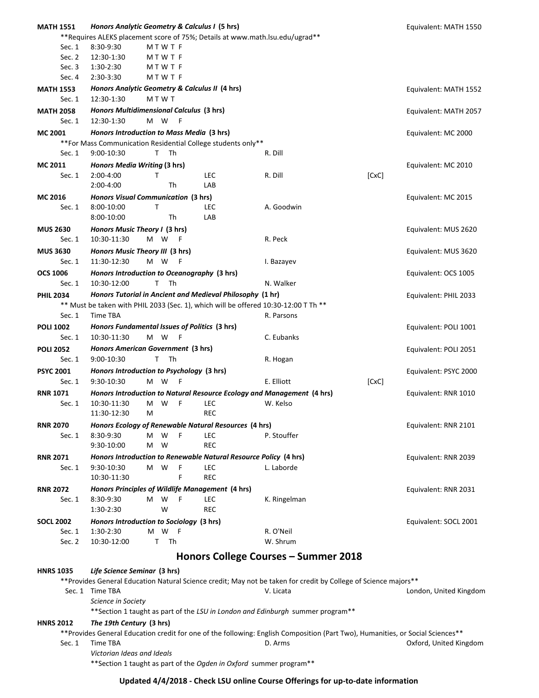| <b>MATH 1551</b> | Honors Analytic Geometry & Calculus I (5 hrs)                                                                                   |            |                                      |       | Equivalent: MATH 1550  |
|------------------|---------------------------------------------------------------------------------------------------------------------------------|------------|--------------------------------------|-------|------------------------|
|                  | **Requires ALEKS placement score of 75%; Details at www.math.lsu.edu/ugrad**                                                    |            |                                      |       |                        |
| Sec. 1           | 8:30-9:30<br><b>MTWTF</b>                                                                                                       |            |                                      |       |                        |
| Sec. 2           | 12:30-1:30<br><b>MTWTF</b>                                                                                                      |            |                                      |       |                        |
| Sec. 3           | 1:30-2:30<br><b>MTWTF</b>                                                                                                       |            |                                      |       |                        |
| Sec. 4           | 2:30-3:30<br><b>MTWTF</b>                                                                                                       |            |                                      |       |                        |
| <b>MATH 1553</b> | Honors Analytic Geometry & Calculus II (4 hrs)                                                                                  |            |                                      |       | Equivalent: MATH 1552  |
| Sec. $1$         | 12:30-1:30<br><b>MTWT</b>                                                                                                       |            |                                      |       |                        |
| <b>MATH 2058</b> | Honors Multidimensional Calculus (3 hrs)                                                                                        |            |                                      |       | Equivalent: MATH 2057  |
| Sec. 1           | 12:30-1:30<br>M W<br>- F                                                                                                        |            |                                      |       |                        |
|                  |                                                                                                                                 |            |                                      |       |                        |
| MC 2001          | Honors Introduction to Mass Media (3 hrs)                                                                                       |            |                                      |       | Equivalent: MC 2000    |
|                  | ** For Mass Communication Residential College students only**                                                                   |            |                                      |       |                        |
| Sec. 1           | 9:00-10:30<br>T.<br>Th                                                                                                          |            | R. Dill                              |       |                        |
| <b>MC 2011</b>   | Honors Media Writing (3 hrs)                                                                                                    |            |                                      |       | Equivalent: MC 2010    |
| Sec. 1           | 2:00-4:00<br>т                                                                                                                  | LEC        | R. Dill                              | [CxC] |                        |
|                  | 2:00-4:00<br>Th                                                                                                                 | LAB        |                                      |       |                        |
| MC 2016          | <b>Honors Visual Communication (3 hrs)</b>                                                                                      |            |                                      |       | Equivalent: MC 2015    |
| Sec. $1$         | $\mathsf{T}$<br>8:00-10:00                                                                                                      | <b>LEC</b> | A. Goodwin                           |       |                        |
|                  | 8:00-10:00<br>Th                                                                                                                | LAB        |                                      |       |                        |
| <b>MUS 2630</b>  | Honors Music Theory I (3 hrs)                                                                                                   |            |                                      |       | Equivalent: MUS 2620   |
| Sec. $1$         | 10:30-11:30<br>M W<br>- F                                                                                                       |            | R. Peck                              |       |                        |
| <b>MUS 3630</b>  | Honors Music Theory III (3 hrs)                                                                                                 |            |                                      |       | Equivalent: MUS 3620   |
| Sec. $1$         | 11:30-12:30<br>M W<br>- F                                                                                                       |            | I. Bazayev                           |       |                        |
| <b>OCS 1006</b>  | Honors Introduction to Oceanography (3 hrs)                                                                                     |            |                                      |       | Equivalent: OCS 1005   |
| Sec. $1$         | 10:30-12:00<br>Th<br>т                                                                                                          |            | N. Walker                            |       |                        |
| <b>PHIL 2034</b> | Honors Tutorial in Ancient and Medieval Philosophy (1 hr)                                                                       |            |                                      |       | Equivalent: PHIL 2033  |
|                  | ** Must be taken with PHIL 2033 (Sec. 1), which will be offered 10:30-12:00 T Th **                                             |            |                                      |       |                        |
| Sec. 1           | Time TBA                                                                                                                        |            | R. Parsons                           |       |                        |
|                  |                                                                                                                                 |            |                                      |       |                        |
| <b>POLI 1002</b> | Honors Fundamental Issues of Politics (3 hrs)<br>10:30-11:30<br>M W<br>- F                                                      |            | C. Eubanks                           |       | Equivalent: POLI 1001  |
| Sec. 1           |                                                                                                                                 |            |                                      |       |                        |
| <b>POLI 2052</b> | Honors American Government (3 hrs)                                                                                              |            |                                      |       | Equivalent: POLI 2051  |
| Sec. 1           | T.<br>Th<br>9:00-10:30                                                                                                          |            | R. Hogan                             |       |                        |
| <b>PSYC 2001</b> | Honors Introduction to Psychology (3 hrs)                                                                                       |            |                                      |       | Equivalent: PSYC 2000  |
| Sec. 1           | M W<br>$-F$<br>9:30-10:30                                                                                                       |            | E. Elliott                           | [CxC] |                        |
| <b>RNR 1071</b>  | Honors Introduction to Natural Resource Ecology and Management (4 hrs)                                                          |            |                                      |       | Equivalent: RNR 1010   |
| Sec. 1           | 10:30-11:30<br>м<br>W<br>F                                                                                                      | <b>LEC</b> | W. Kelso                             |       |                        |
|                  | 11:30-12:30<br>М                                                                                                                | <b>REC</b> |                                      |       |                        |
| <b>RNR 2070</b>  | Honors Ecology of Renewable Natural Resources (4 hrs)                                                                           |            |                                      |       | Equivalent: RNR 2101   |
| Sec. 1           | 8:30-9:30<br>W<br>F<br>м                                                                                                        | LEC        | P. Stouffer                          |       |                        |
|                  | 9:30-10:00<br>M<br>W                                                                                                            | <b>REC</b> |                                      |       |                        |
| <b>RNR 2071</b>  | Honors Introduction to Renewable Natural Resource Policy (4 hrs)                                                                |            |                                      |       | Equivalent: RNR 2039   |
| Sec. 1           | F<br>9:30-10:30<br>M W                                                                                                          | LEC        | L. Laborde                           |       |                        |
|                  | F<br>10:30-11:30                                                                                                                | <b>REC</b> |                                      |       |                        |
| <b>RNR 2072</b>  | Honors Principles of Wildlife Management (4 hrs)                                                                                |            |                                      |       | Equivalent: RNR 2031   |
| Sec. 1           | 8:30-9:30<br>M W<br>- F                                                                                                         | LEC        | K. Ringelman                         |       |                        |
|                  | W<br>1:30-2:30                                                                                                                  | <b>REC</b> |                                      |       |                        |
| <b>SOCL 2002</b> | Honors Introduction to Sociology (3 hrs)                                                                                        |            |                                      |       | Equivalent: SOCL 2001  |
| Sec. 1           | M W<br>1:30-2:30<br>– F                                                                                                         |            | R. O'Neil                            |       |                        |
| Sec. 2           | T.<br>Th<br>10:30-12:00                                                                                                         |            | W. Shrum                             |       |                        |
|                  |                                                                                                                                 |            |                                      |       |                        |
|                  |                                                                                                                                 |            | Honors College Courses - Summer 2018 |       |                        |
| <b>HNRS 1035</b> | Life Science Seminar (3 hrs)                                                                                                    |            |                                      |       |                        |
|                  | ** Provides General Education Natural Science credit; May not be taken for credit by College of Science majors**                |            |                                      |       |                        |
|                  | Sec. 1 Time TBA                                                                                                                 |            | V. Licata                            |       | London, United Kingdom |
|                  | Science in Society                                                                                                              |            |                                      |       |                        |
|                  | ** Section 1 taught as part of the LSU in London and Edinburgh summer program**                                                 |            |                                      |       |                        |
| <b>HNRS 2012</b> | The 19th Century (3 hrs)                                                                                                        |            |                                      |       |                        |
|                  | ** Provides General Education credit for one of the following: English Composition (Part Two), Humanities, or Social Sciences** |            |                                      |       |                        |
| Sec. 1           | Time TBA                                                                                                                        |            | D. Arms                              |       | Oxford, United Kingdom |
|                  | Victorian Ideas and Ideals                                                                                                      |            |                                      |       |                        |
|                  |                                                                                                                                 |            |                                      |       |                        |

\*\*Section 1 taught as part of the *Ogden in Oxford* summer program\*\*

## **Updated 4/4/2018 - Check LSU online Course Offerings for up-to-date information**